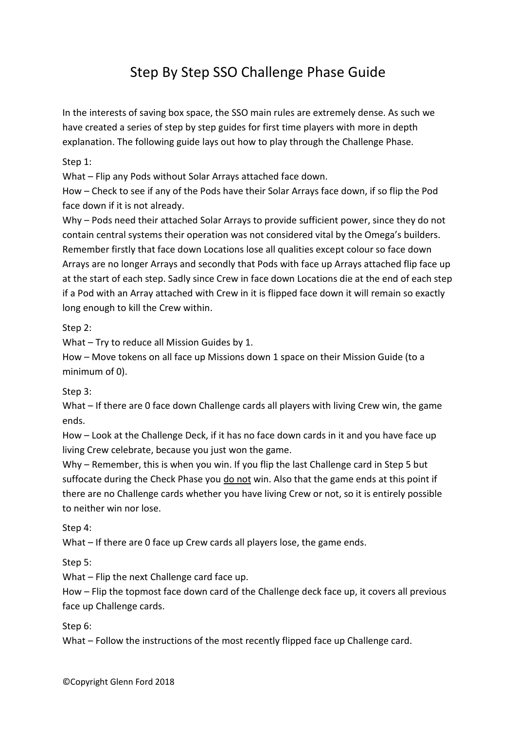# Step By Step SSO Challenge Phase Guide

In the interests of saving box space, the SSO main rules are extremely dense. As such we have created a series of step by step guides for first time players with more in depth explanation. The following guide lays out how to play through the Challenge Phase.

Step 1:

What – Flip any Pods without Solar Arrays attached face down.

How – Check to see if any of the Pods have their Solar Arrays face down, if so flip the Pod face down if it is not already.

Why – Pods need their attached Solar Arrays to provide sufficient power, since they do not contain central systems their operation was not considered vital by the Omega's builders. Remember firstly that face down Locations lose all qualities except colour so face down Arrays are no longer Arrays and secondly that Pods with face up Arrays attached flip face up at the start of each step. Sadly since Crew in face down Locations die at the end of each step if a Pod with an Array attached with Crew in it is flipped face down it will remain so exactly long enough to kill the Crew within.

Step 2:

What – Try to reduce all Mission Guides by 1.

How – Move tokens on all face up Missions down 1 space on their Mission Guide (to a minimum of 0).

Step 3:

What – If there are 0 face down Challenge cards all players with living Crew win, the game ends.

How – Look at the Challenge Deck, if it has no face down cards in it and you have face up living Crew celebrate, because you just won the game.

Why – Remember, this is when you win. If you flip the last Challenge card in Step 5 but suffocate during the Check Phase you do not win. Also that the game ends at this point if there are no Challenge cards whether you have living Crew or not, so it is entirely possible to neither win nor lose.

Step 4:

What – If there are 0 face up Crew cards all players lose, the game ends.

Step 5:

What – Flip the next Challenge card face up.

How – Flip the topmost face down card of the Challenge deck face up, it covers all previous face up Challenge cards.

Step 6:

What – Follow the instructions of the most recently flipped face up Challenge card.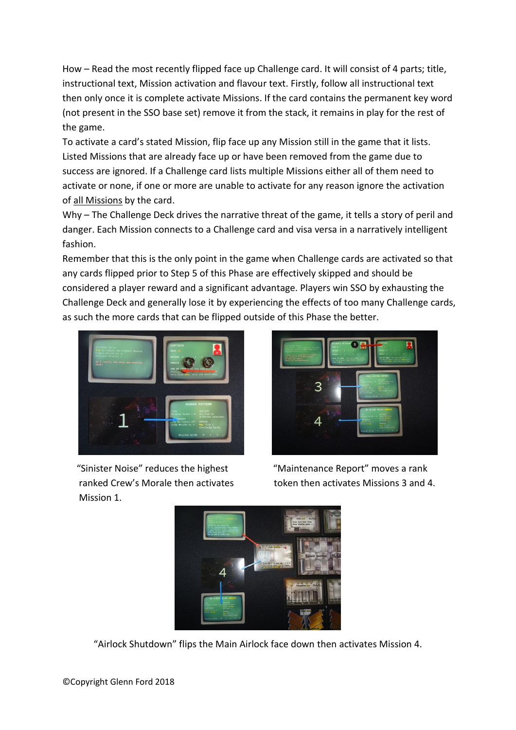How – Read the most recently flipped face up Challenge card. It will consist of 4 parts; title, instructional text, Mission activation and flavour text. Firstly, follow all instructional text then only once it is complete activate Missions. If the card contains the permanent key word (not present in the SSO base set) remove it from the stack, it remains in play for the rest of the game.

To activate a card's stated Mission, flip face up any Mission still in the game that it lists. Listed Missions that are already face up or have been removed from the game due to success are ignored. If a Challenge card lists multiple Missions either all of them need to activate or none, if one or more are unable to activate for any reason ignore the activation of all Missions by the card.

Why – The Challenge Deck drives the narrative threat of the game, it tells a story of peril and danger. Each Mission connects to a Challenge card and visa versa in a narratively intelligent fashion.

Remember that this is the only point in the game when Challenge cards are activated so that any cards flipped prior to Step 5 of this Phase are effectively skipped and should be considered a player reward and a significant advantage. Players win SSO by exhausting the Challenge Deck and generally lose it by experiencing the effects of too many Challenge cards, as such the more cards that can be flipped outside of this Phase the better.



 "Sinister Noise" reduces the highest "Maintenance Report" moves a rank Mission 1.



ranked Crew's Morale then activates token then activates Missions 3 and 4.



"Airlock Shutdown" flips the Main Airlock face down then activates Mission 4.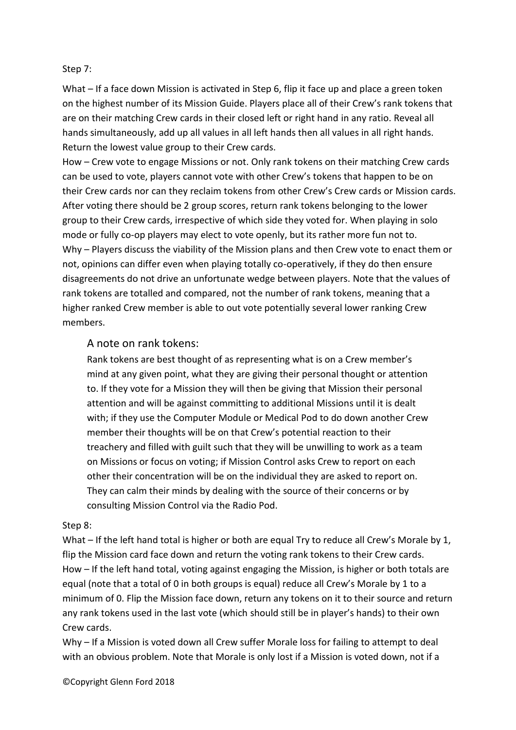#### Step 7:

What – If a face down Mission is activated in Step 6, flip it face up and place a green token on the highest number of its Mission Guide. Players place all of their Crew's rank tokens that are on their matching Crew cards in their closed left or right hand in any ratio. Reveal all hands simultaneously, add up all values in all left hands then all values in all right hands. Return the lowest value group to their Crew cards.

How – Crew vote to engage Missions or not. Only rank tokens on their matching Crew cards can be used to vote, players cannot vote with other Crew's tokens that happen to be on their Crew cards nor can they reclaim tokens from other Crew's Crew cards or Mission cards. After voting there should be 2 group scores, return rank tokens belonging to the lower group to their Crew cards, irrespective of which side they voted for. When playing in solo mode or fully co-op players may elect to vote openly, but its rather more fun not to. Why – Players discuss the viability of the Mission plans and then Crew vote to enact them or not, opinions can differ even when playing totally co-operatively, if they do then ensure disagreements do not drive an unfortunate wedge between players. Note that the values of rank tokens are totalled and compared, not the number of rank tokens, meaning that a higher ranked Crew member is able to out vote potentially several lower ranking Crew members.

### A note on rank tokens:

Rank tokens are best thought of as representing what is on a Crew member's mind at any given point, what they are giving their personal thought or attention to. If they vote for a Mission they will then be giving that Mission their personal attention and will be against committing to additional Missions until it is dealt with; if they use the Computer Module or Medical Pod to do down another Crew member their thoughts will be on that Crew's potential reaction to their treachery and filled with guilt such that they will be unwilling to work as a team on Missions or focus on voting; if Mission Control asks Crew to report on each other their concentration will be on the individual they are asked to report on. They can calm their minds by dealing with the source of their concerns or by consulting Mission Control via the Radio Pod.

### Step 8:

What – If the left hand total is higher or both are equal Try to reduce all Crew's Morale by 1, flip the Mission card face down and return the voting rank tokens to their Crew cards. How – If the left hand total, voting against engaging the Mission, is higher or both totals are equal (note that a total of 0 in both groups is equal) reduce all Crew's Morale by 1 to a minimum of 0. Flip the Mission face down, return any tokens on it to their source and return any rank tokens used in the last vote (which should still be in player's hands) to their own Crew cards.

Why – If a Mission is voted down all Crew suffer Morale loss for failing to attempt to deal with an obvious problem. Note that Morale is only lost if a Mission is voted down, not if a